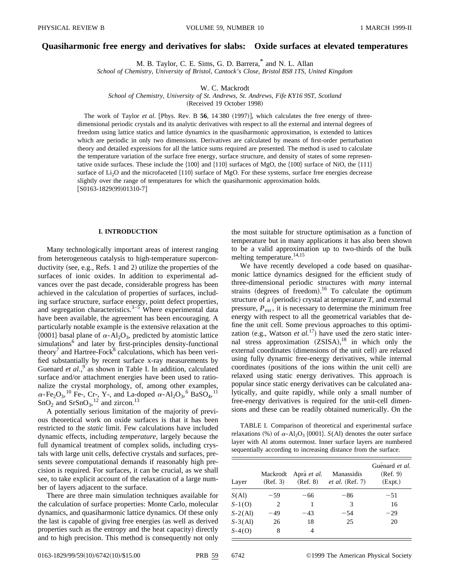## **Quasiharmonic free energy and derivatives for slabs: Oxide surfaces at elevated temperatures**

M. B. Taylor, C. E. Sims, G. D. Barrera,\* and N. L. Allan

*School of Chemistry, University of Bristol, Cantock's Close, Bristol BS8 1TS, United Kingdom*

W. C. Mackrodt

*School of Chemistry, University of St. Andrews, St. Andrews, Fife KY16 9ST, Scotland*

(Received 19 October 1998)

The work of Taylor *et al.* [Phys. Rev. B 56, 14 380 (1997)], which calculates the free energy of threedimensional periodic crystals and its analytic derivatives with respect to all the external and internal degrees of freedom using lattice statics and lattice dynamics in the quasiharmonic approximation, is extended to lattices which are periodic in only two dimensions. Derivatives are calculated by means of first-order perturbation theory and detailed expressions for all the lattice sums required are presented. The method is used to calculate the temperature variation of the surface free energy, surface structure, and density of states of some representative oxide surfaces. These include the  $\{100\}$  and  $\{110\}$  surfaces of MgO, the  $\{100\}$  surface of NiO, the  $\{111\}$ surface of  $Li<sub>2</sub>O$  and the microfaceted  ${110}$  surface of MgO. For these systems, surface free energies decrease slightly over the range of temperatures for which the quasiharmonic approximation holds.  $[$ S0163-1829(99)01310-7]

### **I. INTRODUCTION**

Many technologically important areas of interest ranging from heterogeneous catalysis to high-temperature superconductivity (see, e.g., Refs. 1 and 2) utilize the properties of the surfaces of ionic oxides. In addition to experimental advances over the past decade, considerable progress has been achieved in the calculation of properties of surfaces, including surface structure, surface energy, point defect properties, and segregation characteristics.<sup>3–5</sup> Where experimental data have been available, the agreement has been encouraging. A particularly notable example is the extensive relaxation at the  $\{0001\}$  basal plane of  $\alpha$ -Al<sub>2</sub>O<sub>3</sub>, predicted by atomistic lattice simulations<sup>6</sup> and later by first-principles density-functional theory<sup>7</sup> and Hartree-Fock<sup>8</sup> calculations, which has been verified substantially by recent surface x-ray measurements by Guenard *et al.*,<sup>9</sup> as shown in Table I. In addition, calculated surface and/or attachment energies have been used to rationalize the crystal morphology, of, among other examples,  $\alpha$ -Fe<sub>2</sub>O<sub>3</sub>,<sup>10</sup> Fe-, Cr-, Y-, and La-doped  $\alpha$ -Al<sub>2</sub>O<sub>3</sub>,<sup>6</sup> BaSO<sub>4</sub>,<sup>11</sup>  $SnO<sub>2</sub>$  and  $SrSnO<sub>3</sub>$ , <sup>12</sup> and zircon.<sup>13</sup>

A potentially serious limitation of the majority of previous theoretical work on oxide surfaces is that it has been restricted to the *static* limit. Few calculations have included dynamic effects, including *temperature*, largely because the full dynamical treatment of complex solids, including crystals with large unit cells, defective crystals and surfaces, presents severe computational demands if reasonably high precision is required. For surfaces, it can be crucial, as we shall see, to take explicit account of the relaxation of a large number of layers adjacent to the surface.

There are three main simulation techniques available for the calculation of surface properties: Monte Carlo, molecular dynamics, and quasiharmonic lattice dynamics. Of these only the last is capable of giving free energies (as well as derived properties such as the entropy and the heat capacity) directly and to high precision. This method is consequently not only the most suitable for structure optimisation as a function of temperature but in many applications it has also been shown to be a valid approximation up to two-thirds of the bulk melting temperature.<sup>14,15</sup>

We have recently developed a code based on quasiharmonic lattice dynamics designed for the efficient study of three-dimensional periodic structures with *many* internal strains (degrees of freedom).<sup>16</sup> To calculate the optimum structure of a (periodic) crystal at temperature  $T$ , and external pressure,  $P_{\text{ext}}$ , it is necessary to determine the minimum free energy with respect to all the geometrical variables that define the unit cell. Some previous approaches to this optimization (e.g., Watson *et al.*<sup>17</sup>) have used the zero static internal stress approximation  $(ZSISA)$ ,<sup>18</sup> in which only the external coordinates (dimensions of the unit cell) are relaxed using fully dynamic free-energy derivatives, while internal coordinates (positions of the ions within the unit cell) are relaxed using static energy derivatives. This approach is popular since static energy derivatives can be calculated analytically, and quite rapidly, while only a small number of free-energy derivatives is required for the unit-cell dimensions and these can be readily obtained numerically. On the

TABLE I. Comparison of theoretical and experimental surface relaxations  $\%$  of  $\alpha$ -Al<sub>2</sub>O<sub>3</sub> {0001}. *S*(Al) denotes the outer surface layer with Al atoms outermost. Inner surface layers are numbered sequentially according to increasing distance from the surface.

| Layer     | Mackrodt<br>(Ref. 3) | Aprá et al.<br>(Ref. 8) | Manassidis<br><i>et al.</i> (Ref. 7) | Guénard et al.<br>(Ref. 9)<br>(Expt.) |
|-----------|----------------------|-------------------------|--------------------------------------|---------------------------------------|
| S(Al)     | $-59$                | -66                     | $-86$                                | $-51$                                 |
| $S-1(O)$  | 2                    |                         | 3                                    | 16                                    |
| $S-2(Al)$ | -49                  | $-43$                   | $-54$                                | $-29$                                 |
| $S-3(Al)$ | 26                   | 18                      | 25                                   | 20                                    |
| $S-4(O)$  | 8                    | 4                       |                                      |                                       |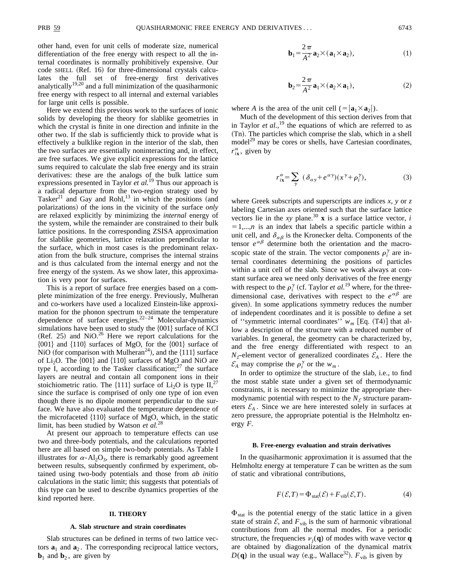other hand, even for unit cells of moderate size, numerical differentiation of the free energy with respect to all the internal coordinates is normally prohibitively expensive. Our code SHELL (Ref. 16) for three-dimensional crystals calculates the full set of free-energy first derivatives analytically<sup>19,20</sup> and a full minimization of the quasiharmonic free energy with respect to all internal and external variables for large unit cells is possible.

Here we extend this previous work to the surfaces of ionic solids by developing the theory for slablike geometries in which the crystal is finite in one direction and infinite in the other two. If the slab is sufficiently thick to provide what is effectively a bulklike region in the interior of the slab, then the two surfaces are essentially noninteracting and, in effect, are free surfaces. We give explicit expressions for the lattice sums required to calculate the slab free energy and its strain derivatives: these are the analogs of the bulk lattice sum expressions presented in Taylor *et al.*<sup>19</sup> Thus our approach is a radical departure from the two-region strategy used by Tasker<sup>21</sup> and Gay and Rohl,<sup>13</sup> in which the positions (and polarizations) of the ions in the vicinity of the surface *only* are relaxed explicitly by minimizing the *internal* energy of the system, while the remainder are constrained to their bulk lattice positions. In the corresponding ZSISA approximation for slablike geometries, lattice relaxation perpendicular to the surface, which in most cases is the predominant relaxation from the bulk structure, comprises the internal strains and is thus calculated from the internal energy and not the free energy of the system. As we show later, this approximation is very poor for surfaces.

This is a report of surface free energies based on a complete minimization of the free energy. Previously, Mulheran and co-workers have used a localized Einstein-like approximation for the phonon spectrum to estimate the temperature dependence of surface energies.<sup>22–24</sup> Molecular-dynamics simulations have been used to study the  ${001}$  surface of KCl  $(Ref. 25)$  and NiO.<sup>26</sup> Here we report calculations for the  ${001}$  and  ${110}$  surfaces of MgO, for the  ${001}$  surface of NiO (for comparison with Mulheran<sup>24</sup>), and the  ${111}$  surface of Li<sub>2</sub>O. The  $\{001\}$  and  $\{110\}$  surfaces of MgO and NiO are type I, according to the Tasker classification;<sup>27</sup> the surface layers are neutral and contain all component ions in their stoichiometric ratio. The  $\{111\}$  surface of Li<sub>2</sub>O is type II,<sup>27</sup> since the surface is comprised of only one type of ion even though there is no dipole moment perpendicular to the surface. We have also evaluated the temperature dependence of the microfaceted  $\{110\}$  surface of MgO, which, in the static limit, has been studied by Watson *et al.*<sup>28</sup>

At present our approach to temperature effects can use two and three-body potentials, and the calculations reported here are all based on simple two-body potentials. As Table I illustrates for  $\alpha$ -Al<sub>2</sub>O<sub>3</sub>, there is remarkably good agreement between results, subsequently confirmed by experiment, obtained using two-body potentials and those from *ab initio* calculations in the static limit; this suggests that potentials of this type can be used to describe dynamics properties of the kind reported here.

#### **II. THEORY**

#### **A. Slab structure and strain coordinates**

Slab structures can be defined in terms of two lattice vectors  $\mathbf{a}_1$  and  $\mathbf{a}_2$ . The corresponding reciprocal lattice vectors,  **and**  $**b**<sub>2</sub>$ **, are given by** 

$$
\mathbf{b}_1 = \frac{2\,\pi}{A^2} \mathbf{a}_2 \times (\mathbf{a}_1 \times \mathbf{a}_2),\tag{1}
$$

$$
\mathbf{b}_2 = \frac{2\,\pi}{A^2} \mathbf{a}_1 \times (\mathbf{a}_2 \times \mathbf{a}_1),\tag{2}
$$

where *A* is the area of the unit cell  $(=|\mathbf{a}_1 \times \mathbf{a}_2|)$ .

Much of the development of this section derives from that in Taylor *et al.*,<sup>19</sup> the equations of which are referred to as (Tn). The particles which comprise the slab, which in a shell model<sup>29</sup> may be cores or shells, have Cartesian coordinates,  $r_{i\mathbf{x}}^{\alpha}$ , given by

$$
r_{ix}^{\alpha} = \sum_{\gamma} (\delta_{\alpha\gamma} + e^{\alpha\gamma})(x^{\gamma} + \rho_i^{\gamma}), \qquad (3)
$$

where Greek subscripts and superscripts are indices *x, y* or *z* labeling Cartesian axes oriented such that the surface lattice vectors lie in the *xy* plane.<sup>30</sup> **x** is a surface lattice vector, *i*  $=1,...,n$  is an index that labels a specific particle within a unit cell, and  $\delta_{\alpha\beta}$  is the Kronecker delta. Components of the tensor  $e^{\alpha\beta}$  determine both the orientation and the macroscopic state of the strain. The vector components  $\rho_i^{\gamma}$  are internal coordinates determining the positions of particles within a unit cell of the slab. Since we work always at constant surface area we need only derivatives of the free energy with respect to the  $\rho_i^{\gamma}$  (cf. Taylor *et al.*<sup>19</sup> where, for the threedimensional case, derivatives with respect to the  $e^{\alpha\beta}$  are given). In some applications symmetry reduces the number of independent coordinates and it is possible to define a set of "symmetric internal coordinates"  $w_m$  [Eq. (T4)] that allow a description of the structure with a reduced number of variables. In general, the geometry can be characterized by, and the free energy differentiated with respect to an  $N<sub>\mathcal{E}</sub>$ -element vector of generalized coordinates  $\mathcal{E}<sub>A</sub>$ . Here the  $\mathcal{E}_A$  may comprise the  $\rho_i^{\gamma}$  or the  $w_m$ .

In order to optimize the structure of the slab, i.e., to find the most stable state under a given set of thermodynamic constraints, it is necessary to minimize the appropriate thermodynamic potential with respect to the  $N<sub>\mathcal{E}</sub>$  structure parameters  $\mathcal{E}_A$ . Since we are here interested solely in surfaces at zero pressure, the appropriate potential is the Helmholtz energy *F*.

#### **B. Free-energy evaluation and strain derivatives**

In the quasiharmonic approximation it is assumed that the Helmholtz energy at temperature *T* can be written as the sum of static and vibrational contributions,

$$
F(\mathcal{E}, T) = \Phi_{\text{stat}}(\mathcal{E}) + F_{\text{vib}}(\mathcal{E}, T). \tag{4}
$$

 $\Phi_{stat}$  is the potential energy of the static lattice in a given state of strain  $\mathcal{E}$ , and  $F_{vib}$  is the sum of harmonic vibrational contributions from all the normal modes. For a periodic structure, the frequencies  $v_i(\mathbf{q})$  of modes with wave vector **q** are obtained by diagonalization of the dynamical matrix  $D(q)$  in the usual way (e.g., Wallace<sup>32</sup>).  $F_{vib}$  is given by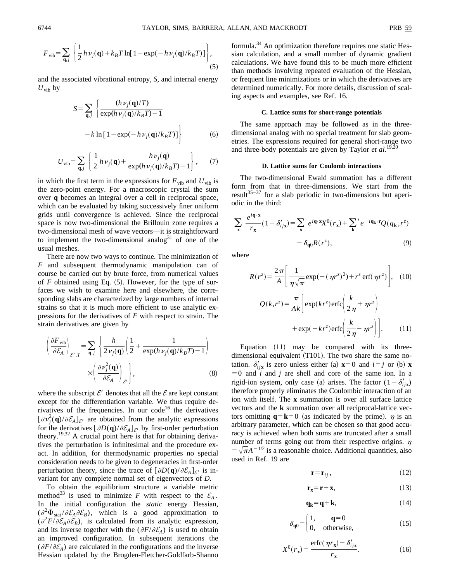$$
F_{\text{vib}} = \sum_{\mathbf{q},j} \left\{ \frac{1}{2} h \nu_j(\mathbf{q}) + k_B T \ln[1 - \exp(-h \nu_j(\mathbf{q})/k_B T)] \right\},\tag{5}
$$

and the associated vibrational entropy, *S*, and internal energy  $U_{\text{vib}}$  by

$$
S = \sum_{\mathbf{q},j} \left\{ \frac{(h\nu_j(\mathbf{q})/T)}{\exp(h\nu_j(\mathbf{q})/k_B T) - 1} - k \ln\left[1 - \exp(-h\nu_j(\mathbf{q})/k_B T)\right] \right\}
$$
(6)

$$
U_{\text{vib}} = \sum_{\mathbf{q},j} \left\{ \frac{1}{2} h \nu_j(\mathbf{q}) + \frac{h \nu_j(\mathbf{q})}{\exp(h \nu_j(\mathbf{q})/k_B T) - 1} \right\},\qquad(7)
$$

in which the first term in the expressions for  $F_{\text{vib}}$  and  $U_{\text{vib}}$  is the zero-point energy. For a macroscopic crystal the sum over **q** becomes an integral over a cell in reciprocal space, which can be evaluated by taking successively finer uniform grids until convergence is achieved. Since the reciprocal space is now two-dimensional the Brillouin zone requires a two-dimensional mesh of wave vectors—it is straightforward to implement the two-dimensional analog<sup>31</sup> of one of the usual meshes.

There are now two ways to continue. The minimization of *F* and subsequent thermodynamic manipulation can of course be carried out by brute force, from numerical values of  $F$  obtained using Eq.  $(5)$ . However, for the type of surfaces we wish to examine here and elsewhere, the corresponding slabs are characterized by large numbers of internal strains so that it is much more efficient to use analytic expressions for the derivatives of *F* with respect to strain. The strain derivatives are given by

$$
\left(\frac{\partial F_{\text{vib}}}{\partial \mathcal{E}_A}\right)_{\mathcal{E}',T} = \sum_{\mathbf{q},j} \left\{ \frac{h}{2\nu_j(\mathbf{q})} \left( \frac{1}{2} + \frac{1}{\exp(h\nu_j(\mathbf{q})/k_B T) - 1} \right) \times \left( \frac{\partial \nu_j^2(\mathbf{q})}{\partial \mathcal{E}_A} \right)_{\mathcal{E}'} \right\},
$$
\n(8)

where the subscript  $\mathcal{E}'$  denotes that all the  $\mathcal{E}$  are kept constant except for the differentiation variable. We thus require derivatives of the frequencies. In our code<sup>16</sup> the derivatives  $[\partial \nu_j^2(\mathbf{q})/\partial \mathcal{E}_A]_{\mathcal{E}'}$  are obtained from the analytic expressions for the derivatives  $[\partial D(q)/\partial \mathcal{E}_A]_{\mathcal{E}}$  by first-order perturbation theory.19,32 A crucial point here is that for obtaining derivatives the perturbation is infinitesimal and the procedure exact. In addition, for thermodynamic properties no special consideration needs to be given to degeneracies in first-order perturbation theory, since the trace of  $\left[\frac{\partial D(\mathbf{q})}{\partial \mathcal{E}_A}\right]_{\mathcal{E}'}$  is invariant for any complete normal set of eigenvectors of *D*.

To obtain the equilibrium structure a variable metric method<sup>33</sup> is used to minimize *F* with respect to the  $\mathcal{E}_A$ . In the initial configuration the *static* energy Hessian,  $(\partial^2 \Phi_{\text{stat}} / \partial \mathcal{E}_A \partial \mathcal{E}_B)$ , which is a good approximation to  $(\partial^2 F/\partial \mathcal{E}_A \partial \mathcal{E}_B)$ , is calculated from its analytic expression, and its inverse together with the  $(\partial F/\partial \mathcal{E}_A)$  is used to obtain an improved configuration. In subsequent iterations the  $(\partial F/\partial \mathcal{E}_A)$  are calculated in the configurations and the inverse Hessian updated by the Brogden-Fletcher-Goldfarb-Shanno formula.34 An optimization therefore requires one static Hessian calculation, and a small number of dynamic gradient calculations. We have found this to be much more efficient than methods involving repeated evaluation of the Hessian, or frequent line minimizations or in which the derivatives are determined numerically. For more details, discussion of scaling aspects and examples, see Ref. 16.

#### **C. Lattice sums for short-range potentials**

The same approach may be followed as in the threedimensional analog with no special treatment for slab geometries. The expressions required for general short-range two and three-body potentials are given by Taylor *et al.*<sup>19,20</sup>

### **D. Lattice sums for Coulomb interactions**

The two-dimensional Ewald summation has a different form from that in three-dimensions. We start from the result $35-37$  for a slab periodic in two-dimensions but aperiodic in the third:

$$
\sum_{\mathbf{x}} \frac{e^{i\mathbf{q}\cdot\mathbf{x}}}{r_{\mathbf{x}}} (1 - \delta'_{ij\mathbf{x}}) = \sum_{\mathbf{x}} e^{i\mathbf{q}\cdot\mathbf{x}} X^{0}(r_{\mathbf{x}}) + \sum_{\mathbf{k}}' e^{-i\mathbf{q}_{\mathbf{k}}\cdot\mathbf{r}} Q(q_{\mathbf{k}}, r^{z})
$$

$$
- \delta_{\mathbf{q}0} R(r^{z}), \qquad (9)
$$

where

$$
R(r^z) = \frac{2\pi}{A} \left[ \frac{1}{\eta\sqrt{\pi}} \exp(-(\eta r^z)^2) + r^z \operatorname{erf}(\eta r^z) \right], \quad (10)
$$

$$
Q(k, r^z) = \frac{\pi}{Ak} \left[ \exp(kr^z) \operatorname{erfc}\left(\frac{k}{2\eta} + \eta r^z\right) \right]
$$

$$
+\exp(-kr^z)\operatorname{erfc}\left(\frac{k}{2\,\eta}-\eta r^z\right)\bigg].\qquad(11)
$$

Equation  $(11)$  may be compared with its threedimensional equivalent  $(T101)$ . The two share the same notation.  $\delta'_{i\textbf{i}x}$  is zero unless either (a)  $\mathbf{x} = 0$  and  $i = j$  or (b) **x**  $=0$  and *i* and *j* are shell and core of the same ion. In a rigid-ion system, only case (a) arises. The factor  $(1 - \delta'_{ijk})$ therefore properly eliminates the Coulombic interaction of an ion with itself. The **x** summation is over all surface lattice vectors and the **k** summation over all reciprocal-lattice vectors omitting  $q = k = 0$  (as indicated by the prime).  $\eta$  is an arbitrary parameter, which can be chosen so that good accuracy is achieved when both sums are truncated after a small number of terms going out from their respective origins.  $\eta$  $=\sqrt{\pi}A^{-1/2}$  is a reasonable choice. Additional quantities, also used in Ref. 19 are

$$
\mathbf{r} = \mathbf{r}_{ij},\tag{12}
$$

$$
\mathbf{r_x} = \mathbf{r} + \mathbf{x},\tag{13}
$$

$$
\mathbf{q}_{\mathbf{k}} = \mathbf{q} + \mathbf{k},\tag{14}
$$

$$
\delta_{\mathbf{q}0} = \begin{cases} 1, & \mathbf{q} = 0 \\ 0, & \text{otherwise,} \end{cases}
$$
 (15)

$$
X^{0}(r_{x}) = \frac{\text{erfc}(\eta r_{x}) - \delta'_{ijx}}{r_{x}}.
$$
 (16)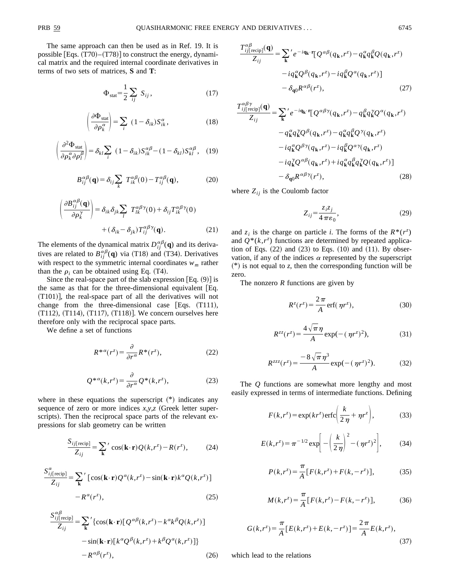The same approach can then be used as in Ref. 19. It is possible [Eqs.  $(T70)$ – $(T78)$ ] to construct the energy, dynamical matrix and the required internal coordinate derivatives in terms of two sets of matrices, **S** and **T**:

$$
\Phi_{\text{stat}} = \frac{1}{2} \sum_{ij} S_{ij}, \qquad (17)
$$

$$
\left(\frac{\partial \Phi_{\text{stat}}}{\partial \rho_k^{\alpha}}\right) = \sum_i (1 - \delta_{ik}) S_{ik}^{\alpha}, \qquad (18)
$$

$$
\left(\frac{\partial^2 \Phi_{\text{stat}}}{\partial \rho_k^{\alpha} \partial \rho_l^{\beta}}\right) = \delta_{kl} \sum_i (1 - \delta_{ik}) S_{ik}^{\alpha \beta} - (1 - \delta_{kl}) S_{kl}^{\alpha \beta}, (19)
$$

$$
B_{ij}^{\alpha\beta}(\mathbf{q}) = \delta_{ij} \sum_{k} T_{ik}^{\alpha\beta}(0) - T_{ij}^{\alpha\beta}(\mathbf{q}), \qquad (20)
$$

$$
\left(\frac{\partial B_{ij}^{\alpha\beta}(\mathbf{q})}{\partial \rho_k^{\gamma}}\right) = \delta_{ik}\delta_{jk}\sum_l T_{lk}^{\alpha\beta\gamma}(0) + \delta_{ij}T_{ik}^{\alpha\beta\gamma}(0) + (\delta_{ik} - \delta_{jk})T_{ij}^{\alpha\beta\gamma}(\mathbf{q}).
$$
\n(21)

The elements of the dynamical matrix  $D_{ij}^{\alpha\beta}(\mathbf{q})$  and its derivatives are related to  $B_{ij}^{\alpha\beta}(\mathbf{q})$  via (T18) and (T34). Derivatives with respect to the symmetric internal coordinates  $w_m$  rather than the  $\rho_i$  can be obtained using Eq. (T4).

Since the real-space part of the slab expression  $[Eq. (9)]$  is the same as that for the three-dimensional equivalent  $[Eq.$  $(T101)$ , the real-space part of all the derivatives will not change from the three-dimensional case [Eqs.  $(T111)$ ,  $(T112)$ ,  $(T114)$ ,  $(T117)$ ,  $(T118)$ . We concern ourselves here therefore only with the reciprocal space parts.

We define a set of functions

$$
R^{*\alpha}(r^z) = \frac{\partial}{\partial r^\alpha} R^*(r^z),\tag{22}
$$

$$
Q^{*\alpha}(k,r^z) = \frac{\partial}{\partial r^\alpha} Q^*(k,r^z),\tag{23}
$$

where in these equations the superscript  $(*)$  indicates any sequence of zero or more indices  $x, y, z$  (Greek letter superscripts). Then the reciprocal space parts of the relevant expressions for slab geometry can be written

$$
\frac{S_{ij[\text{recip}]}}{Z_{ij}} = \sum_{\mathbf{k}}' \cos(\mathbf{k} \cdot \mathbf{r}) Q(k, r^z) - R(r^z), \tag{24}
$$

$$
\frac{S_{ij[\text{recip}]}^{\alpha}}{Z_{ij}} = \sum_{\mathbf{k}}' [\cos(\mathbf{k} \cdot \mathbf{r}) Q^{\alpha}(k, r^z) - \sin(\mathbf{k} \cdot \mathbf{r}) k^{\alpha} Q(k, r^z)] - R^{\alpha}(r^z),
$$
\n(25)

$$
S_{ij\text{[recip]}}^{\alpha\beta} = \sum_{\mathbf{k}}' \{ \cos(\mathbf{k} \cdot \mathbf{r}) [\mathcal{Q}^{\alpha\beta}(k, r^z) - k^{\alpha} k^{\beta} \mathcal{Q}(k, r^z) ] - \sin(\mathbf{k} \cdot \mathbf{r}) [k^{\alpha} \mathcal{Q}^{\beta}(k, r^z) + k^{\beta} \mathcal{Q}^{\alpha}(k, r^z) ] \} - R^{\alpha\beta}(r^z), \tag{26}
$$

$$
\frac{T_{ij[\text{recip}]}^{\alpha\beta}(\mathbf{q})}{Z_{ij}} = \sum_{\mathbf{k}}' e^{-i\mathbf{q}_{\mathbf{k}} \cdot \mathbf{r}} [Q^{\alpha\beta}(q_{\mathbf{k}}, r^z) - q_{\mathbf{k}}^{\alpha} q_{\mathbf{k}}^{\beta} Q(q_{\mathbf{k}}, r^z)
$$

$$
-i q_{\mathbf{k}}^{\alpha} Q^{\beta}(q_{\mathbf{k}}, r^z) - i q_{\mathbf{k}}^{\beta} Q^{\alpha}(q_{\mathbf{k}}, r^z)]
$$

$$
- \delta_{\mathbf{q}0} R^{\alpha\beta}(r^z), \qquad (27)
$$

$$
\frac{T_{ij}^{\alpha\beta\gamma}}{Z_{ij}} = \sum_{\mathbf{k}}' e^{-i\mathbf{q}_{\mathbf{k}} \cdot \mathbf{r}} [Q^{\alpha\beta\gamma}(q_{\mathbf{k}}, r^z) - q_{\mathbf{k}}^{\beta} q_{\mathbf{k}}^{\gamma} Q^{\alpha}(q_{\mathbf{k}}, r^z)
$$

$$
- q_{\mathbf{k}}^{\alpha} q_{\mathbf{k}}^{\gamma} Q^{\beta}(q_{\mathbf{k}}, r^z) - q_{\mathbf{k}}^{\alpha} q_{\mathbf{k}}^{\beta} Q^{\gamma}(q_{\mathbf{k}}, r^z)
$$

$$
- i q_{\mathbf{k}}^{\alpha} Q^{\beta\gamma}(q_{\mathbf{k}}, r^z) - i q_{\mathbf{k}}^{\beta} Q^{\alpha\gamma}(q_{\mathbf{k}}, r^z)
$$

$$
- i q_{\mathbf{k}}^{\gamma} Q^{\alpha\beta}(q_{\mathbf{k}}, r^z) + i q_{\mathbf{k}}^{\alpha} q_{\mathbf{k}}^{\beta} q_{\mathbf{k}}^{\gamma} Q(q_{\mathbf{k}}, r^z)]
$$

$$
- \delta_{\mathbf{q}0} R^{\alpha\beta\gamma}(r^z), \qquad (28)
$$

where  $Z_{ij}$  is the Coulomb factor

$$
Z_{ij} = \frac{z_i z_j}{4 \pi \varepsilon_0},\tag{29}
$$

and  $z_i$  is the charge on particle *i*. The forms of the  $R^*(r^z)$ and  $Q^*(k, r^z)$  functions are determined by repeated application of Eqs.  $(22)$  and  $(23)$  to Eqs.  $(10)$  and  $(11)$ . By observation, if any of the indices  $\alpha$  represented by the superscript  $(*)$  is not equal to *z*, then the corresponding function will be zero.

The nonzero *R* functions are given by

$$
R^{z}(r^{z}) = \frac{2\pi}{A} \operatorname{erf}(\eta r^{z}), \qquad (30)
$$

$$
R^{zz}(r^z) = \frac{4\sqrt{\pi}\,\eta}{A} \exp(-(\eta r^z)^2),\tag{31}
$$

$$
R^{zzz}(r^z) = \frac{-8\sqrt{\pi}\,\eta^3}{A} \exp(-( \,\eta r^z)^2). \tag{32}
$$

The *Q* functions are somewhat more lengthy and most easily expressed in terms of intermediate functions. Defining

$$
F(k, r^z) = \exp(kr^z)\operatorname{erfc}\left(\frac{k}{2\,\eta} + \eta r^z\right),\tag{33}
$$

$$
E(k, r^{z}) = \pi^{-1/2} \exp\left[-\left(\frac{k}{2\,\eta}\right)^{2} - (\,\eta r^{z})^{2}\right],\tag{34}
$$

$$
P(k,r^{z}) = \frac{\pi}{A} [F(k,r^{z}) + F(k,-r^{z})],
$$
 (35)

$$
M(k, r^z) = \frac{\pi}{A} [F(k, r^z) - F(k, -r^z)],
$$
 (36)

$$
G(k,r^{z}) = \frac{\pi}{A} [E(k,r^{z}) + E(k,-r^{z})] = \frac{2\pi}{A} E(k,r^{z}),
$$
\n(37)

which lead to the relations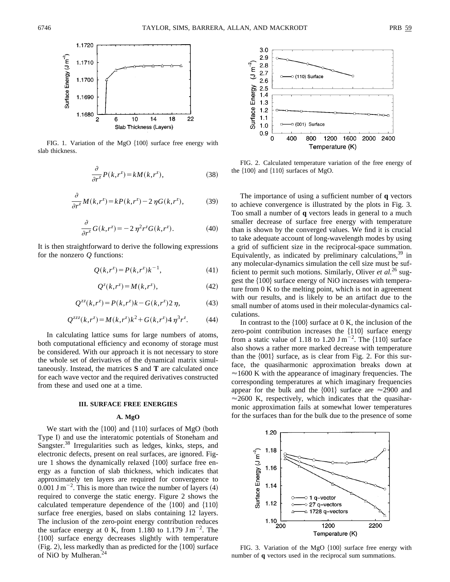

FIG. 1. Variation of the MgO  $\{100\}$  surface free energy with slab thickness.

$$
\frac{\partial}{\partial r^z} P(k, r^z) = k M(k, r^z),\tag{38}
$$

$$
\frac{\partial}{\partial r^z}M(k,r^z) = kP(k,r^z) - 2\,\eta G(k,r^z),\tag{39}
$$

$$
\frac{\partial}{\partial r^z} G(k, r^z) = -2 \eta^2 r^z G(k, r^z). \tag{40}
$$

It is then straightforward to derive the following expressions for the nonzero *Q* functions:

$$
Q(k, r^z) = P(k, r^z)k^{-1},
$$
\n(41)

$$
Q^{z}(k,r^{z}) = M(k,r^{z}), \qquad (42)
$$

$$
Q^{zz}(k,r^z) = P(k,r^z)k - G(k,r^z)2\eta,
$$
 (43)

$$
Q^{zzz}(k,r^z) = M(k,r^z)k^2 + G(k,r^z)4\,\eta^3r^z. \tag{44}
$$

In calculating lattice sums for large numbers of atoms, both computational efficiency and economy of storage must be considered. With our approach it is not necessary to store the whole set of derivatives of the dynamical matrix simultaneously. Instead, the matrices **S** and **T** are calculated once for each wave vector and the required derivatives constructed from these and used one at a time.

## **III. SURFACE FREE ENERGIES**

#### **A. MgO**

We start with the  $\{100\}$  and  $\{110\}$  surfaces of MgO (both Type I) and use the interatomic potentials of Stoneham and Sangster.<sup>38</sup> Irregularities such as ledges, kinks, steps, and electronic defects, present on real surfaces, are ignored. Figure 1 shows the dynamically relaxed  $\{100\}$  surface free energy as a function of slab thickness, which indicates that approximately ten layers are required for convergence to  $0.001$  J m<sup>-2</sup>. This is more than twice the number of layers (4) required to converge the static energy. Figure 2 shows the calculated temperature dependence of the  $\{100\}$  and  $\{110\}$ surface free energies, based on slabs containing 12 layers. The inclusion of the zero-point energy contribution reduces the surface energy at 0 K, from 1.180 to 1.179  $\text{J m}^{-2}$ . The \$100% surface energy decreases slightly with temperature  $(Fig. 2)$ , less markedly than as predicted for the  $\{100\}$  surface of NiO by Mulheran.<sup>2</sup>



FIG. 2. Calculated temperature variation of the free energy of the  $\{100\}$  and  $\{110\}$  surfaces of MgO.

The importance of using a sufficient number of **q** vectors to achieve convergence is illustrated by the plots in Fig. 3. Too small a number of **q** vectors leads in general to a much smaller decrease of surface free energy with temperature than is shown by the converged values. We find it is crucial to take adequate account of long-wavelength modes by using a grid of sufficient size in the reciprocal-space summation. Equivalently, as indicated by preliminary calculations,  $39 \text{ in}$ any molecular-dynamics simulation the cell size must be sufficient to permit such motions. Similarly, Oliver *et al.*<sup>26</sup> suggest the  $\{100\}$  surface energy of NiO increases with temperature from 0 K to the melting point, which is not in agreement with our results, and is likely to be an artifact due to the small number of atoms used in their molecular-dynamics calculations.

In contrast to the  $\{100\}$  surface at 0 K, the inclusion of the zero-point contribution increases the  ${110}$  surface energy from a static value of 1.18 to 1.20  $\text{J m}^{-2}$ . The {110} surface also shows a rather more marked decrease with temperature than the  $\{001\}$  surface, as is clear from Fig. 2. For this surface, the quasiharmonic approximation breaks down at  $\approx$ 1600 K with the appearance of imaginary frequencies. The corresponding temperatures at which imaginary frequencies appear for the bulk and the  $\{001\}$  surface are  $\approx$  2900 and  $\approx$  2600 K, respectively, which indicates that the quasiharmonic approximation fails at somewhat lower temperatures for the surfaces than for the bulk due to the presence of some



FIG. 3. Variation of the MgO  ${100}$  surface free energy with number of **q** vectors used in the reciprocal sum summations.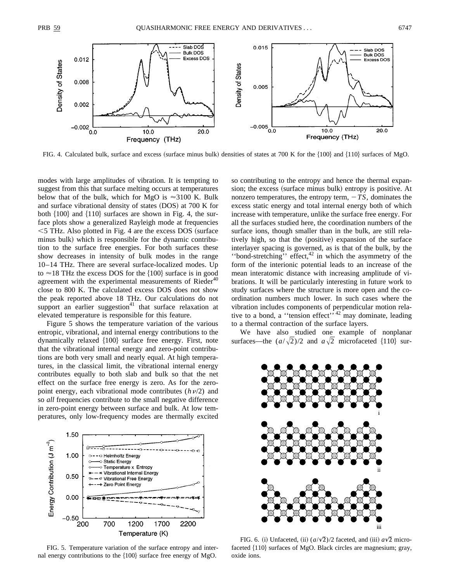

FIG. 4. Calculated bulk, surface and excess (surface minus bulk) densities of states at 700 K for the  $\{100\}$  and  $\{110\}$  surfaces of MgO.

modes with large amplitudes of vibration. It is tempting to suggest from this that surface melting occurs at temperatures below that of the bulk, which for MgO is  $\approx 3100$  K. Bulk and surface vibrational density of states  $(DOS)$  at 700 K for both  $\{100\}$  and  $\{110\}$  surfaces are shown in Fig. 4, the surface plots show a generalized Rayleigh mode at frequencies  $<$  5 THz. Also plotted in Fig. 4 are the excess DOS (surface minus bulk) which is responsible for the dynamic contribution to the surface free energies. For both surfaces these show decreases in intensity of bulk modes in the range 10–14 THz. There are several surface-localized modes. Up to  $\approx$  18 THz the excess DOS for the {100} surface is in good agreement with the experimental measurements of  $Rieder<sup>40</sup>$ close to 800 K. The calculated excess DOS does not show the peak reported above 18 THz. Our calculations do not support an earlier suggestion $41$  that surface relaxation at elevated temperature is responsible for this feature.

Figure 5 shows the temperature variation of the various entropic, vibrational, and internal energy contributions to the dynamically relaxed  $\{100\}$  surface free energy. First, note that the vibrational internal energy and zero-point contributions are both very small and nearly equal. At high temperatures, in the classical limit, the vibrational internal energy contributes equally to both slab and bulk so that the net effect on the surface free energy is zero. As for the zeropoint energy, each vibrational mode contributes  $(h\nu/2)$  and so *all* frequencies contribute to the small negative difference in zero-point energy between surface and bulk. At low temperatures, only low-frequency modes are thermally excited



FIG. 5. Temperature variation of the surface entropy and internal energy contributions to the  $\{100\}$  surface free energy of MgO.

so contributing to the entropy and hence the thermal expansion; the excess (surface minus bulk) entropy is positive. At nonzero temperatures, the entropy term,  $-TS$ , dominates the excess static energy and total internal energy both of which increase with temperature, unlike the surface free energy. For all the surfaces studied here, the coordination numbers of the surface ions, though smaller than in the bulk, are still relatively high, so that the (positive) expansion of the surface interlayer spacing is governed, as is that of the bulk, by the ''bond-stretching'' effect,<sup>42</sup> in which the asymmetry of the form of the interionic potential leads to an increase of the mean interatomic distance with increasing amplitude of vibrations. It will be particularly interesting in future work to study surfaces where the structure is more open and the coordination numbers much lower. In such cases where the vibration includes components of perpendicular motion relative to a bond, a "tension effect"<sup>, 42</sup> may dominate, leading to a thermal contraction of the surface layers.

We have also studied one example of nonplanar surfaces—the  $(a/\sqrt{2})/2$  and  $a\sqrt{2}$  microfaceted  $\{110\}$  sur-



FIG. 6. (i) Unfaceted, (ii)  $(a/\sqrt{2})/2$  faceted, and (iii)  $a\sqrt{2}$  microfaceted  ${110}$  surfaces of MgO. Black circles are magnesium; gray, oxide ions.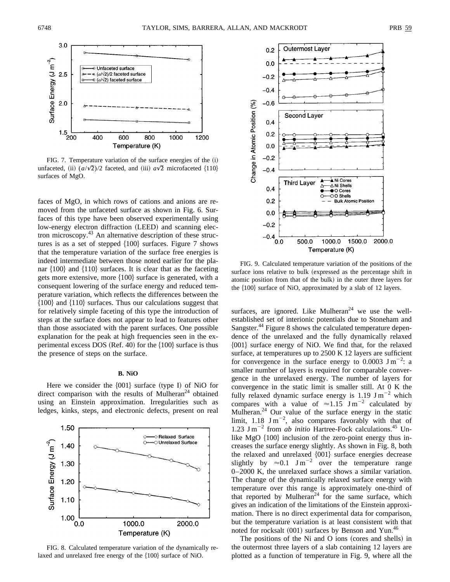

FIG. 7. Temperature variation of the surface energies of the  $(i)$ unfaceted, (ii)  $(a/\sqrt{2})/2$  faceted, and (iii)  $a\sqrt{2}$  microfaceted  $\{110\}$ surfaces of MgO.

faces of MgO, in which rows of cations and anions are removed from the unfaceted surface as shown in Fig. 6. Surfaces of this type have been observed experimentally using low-energy electron diffraction (LEED) and scanning electron microscopy.43 An alternative description of these structures is as a set of stepped  $\{100\}$  surfaces. Figure 7 shows that the temperature variation of the surface free energies is indeed intermediate between those noted earlier for the planar  $\{100\}$  and  $\{110\}$  surfaces. It is clear that as the faceting gets more extensive, more  $\{100\}$  surface is generated, with a consequent lowering of the surface energy and reduced temperature variation, which reflects the differences between the  ${100}$  and  ${110}$  surfaces. Thus our calculations suggest that for relatively simple faceting of this type the introduction of steps at the surface does not appear to lead to features other than those associated with the parent surfaces. One possible explanation for the peak at high frequencies seen in the experimental excess DOS (Ref. 40) for the  $\{100\}$  surface is thus the presence of steps on the surface.

#### **B. NiO**

Here we consider the  ${001}$  surface (type I) of NiO for direct comparison with the results of Mulheran<sup>24</sup> obtained using an Einstein approximation. Irregularities such as ledges, kinks, steps, and electronic defects, present on real



FIG. 8. Calculated temperature variation of the dynamically relaxed and unrelaxed free energy of the  ${100}$  surface of NiO.



FIG. 9. Calculated temperature variation of the positions of the surface ions relative to bulk (expressed as the percentage shift in atomic position from that of the bulk) in the outer three layers for the  ${100}$  surface of NiO, approximated by a slab of 12 layers.

surfaces, are ignored. Like Mulheran<sup>24</sup> we use the wellestablished set of interionic potentials due to Stoneham and Sangster.<sup>44</sup> Figure 8 shows the calculated temperature dependence of the unrelaxed and the fully dynamically relaxed  ${001}$  surface energy of NiO. We find that, for the relaxed surface, at temperatures up to 2500 K 12 layers are sufficient for convergence in the surface energy to  $0.0003$  J m<sup>-2</sup>: a smaller number of layers is required for comparable convergence in the unrelaxed energy. The number of layers for convergence in the static limit is smaller still. At 0 K the fully relaxed dynamic surface energy is 1.19  $\text{J m}^{-2}$  which compares with a value of  $\approx 1.15$  J m<sup>-2</sup> calculated by Mulheran. $24$  Our value of the surface energy in the static limit, 1.18  $\text{J m}^{-2}$ , also compares favorably with that of 1.23  $\text{J m}^{-2}$  from *ab initio* Hartree-Fock calculations.<sup>45</sup> Unlike MgO  $\{100\}$  inclusion of the zero-point energy thus increases the surface energy slightly. As shown in Fig. 8, both the relaxed and unrelaxed  ${001}$  surface energies decrease slightly by  $\approx 0.1$  J m<sup>-2</sup> over the temperature range 0–2000 K, the unrelaxed surface shows a similar variation. The change of the dynamically relaxed surface energy with temperature over this range is approximately one-third of that reported by Mulheran<sup>24</sup> for the same surface, which gives an indication of the limitations of the Einstein approximation. There is no direct experimental data for comparison, but the temperature variation is at least consistent with that noted for rocksalt  $(001)$  surfaces by Benson and Yun.<sup>46</sup>

The positions of the Ni and O ions (cores and shells) in the outermost three layers of a slab containing 12 layers are plotted as a function of temperature in Fig. 9, where all the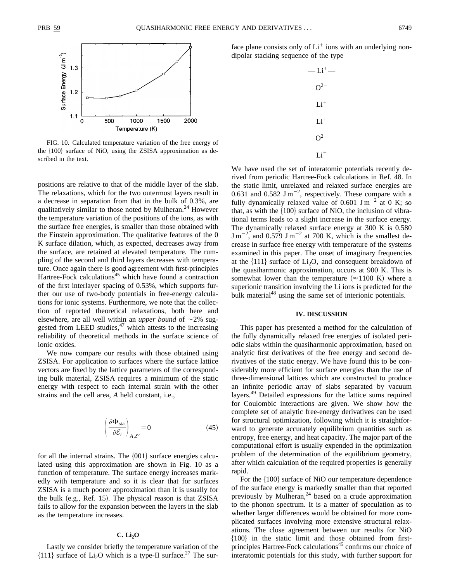

FIG. 10. Calculated temperature variation of the free energy of the  $\{100\}$  surface of NiO, using the ZSISA approximation as described in the text.

positions are relative to that of the middle layer of the slab. The relaxations, which for the two outermost layers result in a decrease in separation from that in the bulk of 0.3%, are qualitatively similar to those noted by Mulheran. $^{24}$  However the temperature variation of the positions of the ions, as with the surface free energies, is smaller than those obtained with the Einstein approximation. The qualitative features of the 0 K surface dilation, which, as expected, decreases away from the surface, are retained at elevated temperature. The rumpling of the second and third layers decreases with temperature. Once again there is good agreement with first-principles Hartree-Fock calculations<sup>45</sup> which have found a contraction of the first interlayer spacing of 0.53%, which supports further our use of two-body potentials in free-energy calculations for ionic systems. Furthermore, we note that the collection of reported theoretical relaxations, both here and elsewhere, are all well within an *upper bound* of  $\sim$ 2% suggested from LEED studies, $47$  which attests to the increasing reliability of theoretical methods in the surface science of ionic oxides.

We now compare our results with those obtained using ZSISA. For application to surfaces where the surface lattice vectors are fixed by the lattice parameters of the corresponding bulk material, ZSISA requires a minimum of the static energy with respect to each internal strain with the other strains and the cell area, *A* held constant, i.e.,

$$
\left(\frac{\partial \Phi_{\text{stat}}}{\partial \mathcal{E}_i}\right)_{A,\mathcal{E}'} = 0 \tag{45}
$$

for all the internal strains. The  $\{001\}$  surface energies calculated using this approximation are shown in Fig. 10 as a function of temperature. The surface energy increases markedly with temperature and so it is clear that for surfaces ZSISA is a much poorer approximation than it is usually for the bulk  $(e.g., Ref. 15)$ . The physical reason is that  $ZSISA$ fails to allow for the expansion between the layers in the slab as the temperature increases.

### **C. Li2O**

Lastly we consider briefly the temperature variation of the  $\{111\}$  surface of Li<sub>2</sub>O which is a type-II surface.<sup>27</sup> The surface plane consists only of  $Li<sup>+</sup>$  ions with an underlying nondipolar stacking sequence of the type

| $-Li^+$  |
|----------|
| $O^{2-}$ |
| $Li^+$   |
| $Li+$    |
| $O^{2-}$ |
| $Li+$    |

We have used the set of interatomic potentials recently derived from periodic Hartree-Fock calculations in Ref. 48. In the static limit, unrelaxed and relaxed surface energies are 0.631 and 0.582 J m<sup>-2</sup>, respectively. These compare with a fully dynamically relaxed value of 0.601 J m<sup>-2</sup> at 0 K; so that, as with the  $\{100\}$  surface of NiO, the inclusion of vibrational terms leads to a slight increase in the surface energy. The dynamically relaxed surface energy at 300 K is 0.580  $\text{J m}^{-2}$ , and 0.579 J m<sup>-2</sup> at 700 K, which is the smallest decrease in surface free energy with temperature of the systems examined in this paper. The onset of imaginary frequencies at the  $\{111\}$  surface of Li<sub>2</sub>O, and consequent breakdown of the quasiharmonic approximation, occurs at 900 K. This is somewhat lower than the temperature  $(\approx 1100 \text{ K})$  where a superionic transition involving the Li ions is predicted for the bulk material<sup>48</sup> using the same set of interionic potentials.

## **IV. DISCUSSION**

This paper has presented a method for the calculation of the fully dynamically relaxed free energies of isolated periodic slabs within the quasiharmonic approximation, based on analytic first derivatives of the free energy and second derivatives of the static energy. We have found this to be considerably more efficient for surface energies than the use of three-dimensional lattices which are constructed to produce an infinite periodic array of slabs separated by vacuum layers.49 Detailed expressions for the lattice sums required for Coulombic interactions are given. We show how the complete set of analytic free-energy derivatives can be used for structural optimization, following which it is straightforward to generate accurately equilibrium quantities such as entropy, free energy, and heat capacity. The major part of the computational effort is usually expended in the optimization problem of the determination of the equilibrium geometry, after which calculation of the required properties is generally rapid.

For the  $\{100\}$  surface of NiO our temperature dependence of the surface energy is markedly smaller than that reported previously by Mulheran,<sup>24</sup> based on a crude approximation to the phonon spectrum. It is a matter of speculation as to whether larger differences would be obtained for more complicated surfaces involving more extensive structural relaxations. The close agreement between our results for NiO  ${100}$  in the static limit and those obtained from firstprinciples Hartree-Fock calculations<sup>45</sup> confirms our choice of interatomic potentials for this study, with further support for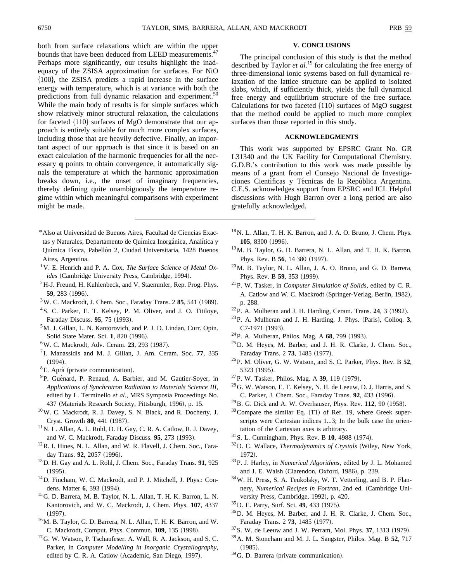both from surface relaxations which are within the upper bounds that have been deduced from LEED measurements.<sup>4</sup> Perhaps more significantly, our results highlight the inadequacy of the ZSISA approximation for surfaces. For NiO \$100%, the ZSISA predicts a rapid increase in the surface energy with temperature, which is at variance with both the predictions from full dynamic relaxation and experiment.<sup>50</sup> While the main body of results is for simple surfaces which show relatively minor structural relaxation, the calculations for faceted  ${110}$  surfaces of MgO demonstrate that our approach is entirely suitable for much more complex surfaces, including those that are heavily defective. Finally, an important aspect of our approach is that since it is based on an exact calculation of the harmonic frequencies for all the necessary **q** points to obtain convergence, it automatically signals the temperature at which the harmonic approximation breaks down, i.e., the onset of imaginary frequencies, thereby defining quite unambiguously the temperature regime within which meaningful comparisons with experiment might be made.

- \*Also at Universidad de Buenos Aires, Facultad de Ciencias Exactas y Naturales, Departamento de Química Inorgánica, Analítica y Química Física, Pabellón 2, Ciudad Universitaria, 1428 Buenos Aires, Argentina.
- 1V. E. Henrich and P. A. Cox, *The Surface Science of Metal Oxides* (Cambridge University Press, Cambridge, 1994).
- ${}^{2}$ H-J. Freund, H. Kuhlenbeck, and V. Staemmler, Rep. Prog. Phys. **59**, 283 (1996).
- <sup>3</sup>W. C. Mackrodt, J. Chem. Soc., Faraday Trans. 2 85, 541 (1989).
- 4S. C. Parker, E. T. Kelsey, P. M. Oliver, and J. O. Titiloye, Faraday Discuss. **95**, 75 (1993).
- 5M. J. Gillan, L. N. Kantorovich, and P. J. D. Lindan, Curr. Opin. Solid State Mater. Sci. 1, 820 (1996).
- <sup>6</sup>W. C. Mackrodt, Adv. Ceram. **23**, 293 (1987).
- <sup>7</sup> I. Manassidis and M. J. Gillan, J. Am. Ceram. Soc. **77**, 335  $(1994).$
- ${}^{8}E.$  Aprá (private communication).
- <sup>9</sup>P. Guénard, P. Renaud, A. Barbier, and M. Gautier-Soyer, in *Applications of Synchrotron Radiation to Materials Science III*, edited by L. Terminello *et al.*, MRS Symposia Proceedings No. 437 (Materials Research Society, Pittsburgh, 1996), p. 15.
- 10W. C. Mackrodt, R. J. Davey, S. N. Black, and R. Docherty, J. Cryst. Growth 80, 441 (1987).
- $11$ N. L. Allan, A. L. Rohl, D. H. Gay, C. R. A. Catlow, R. J. Davey, and W. C. Mackrodt, Faraday Discuss. **95**, 273 (1993).
- <sup>12</sup>R. I. Hines, N. L. Allan, and W. R. Flavell, J. Chem. Soc., Faraday Trans. **92**, 2057 (1996).
- 13D. H. Gay and A. L. Rohl, J. Chem. Soc., Faraday Trans. **91**, 925  $(1995).$
- <sup>14</sup>D. Fincham, W. C. Mackrodt, and P. J. Mitchell, J. Phys.: Condens. Matter 6, 393 (1994).
- 15G. D. Barrera, M. B. Taylor, N. L. Allan, T. H. K. Barron, L. N. Kantorovich, and W. C. Mackrodt, J. Chem. Phys. **107**, 4337  $(1997).$
- 16M. B. Taylor, G. D. Barrera, N. L. Allan, T. H. K. Barron, and W. C. Mackrodt, Comput. Phys. Commun. 109, 135 (1998).
- <sup>17</sup>G. W. Watson, P. Tschaufeser, A. Wall, R. A. Jackson, and S. C. Parker, in *Computer Modelling in Inorganic Crystallography*, edited by C. R. A. Catlow (Academic, San Diego, 1997).

## **V. CONCLUSIONS**

The principal conclusion of this study is that the method described by Taylor *et al.*<sup>19</sup> for calculating the free energy of three-dimensional ionic systems based on full dynamical relaxation of the lattice structure can be applied to isolated slabs, which, if sufficiently thick, yields the full dynamical free energy and equilibrium structure of the free surface. Calculations for two faceted  ${110}$  surfaces of MgO suggest that the method could be applied to much more complex surfaces than those reported in this study.

# **ACKNOWLEDGMENTS**

This work was supported by EPSRC Grant No. GR L31340 and the UK Facility for Computational Chemistry. G.D.B.'s contribution to this work was made possible by means of a grant from el Consejo Nacional de Investigaciones Científicas y Técnicas de la República Argentina. C.E.S. acknowledges support from EPSRC and ICI. Helpful discussions with Hugh Barron over a long period are also gratefully acknowledged.

- 18N. L. Allan, T. H. K. Barron, and J. A. O. Bruno, J. Chem. Phys. **105**, 8300 (1996).
- 19M. B. Taylor, G. D. Barrera, N. L. Allan, and T. H. K. Barron, Phys. Rev. B 56, 14 380 (1997).
- 20M. B. Taylor, N. L. Allan, J. A. O. Bruno, and G. D. Barrera, Phys. Rev. B 59, 353 (1999).
- 21P. W. Tasker, in *Computer Simulation of Solids*, edited by C. R. A. Catlow and W. C. Mackrodt (Springer-Verlag, Berlin, 1982), p. 288.
- $22P$ . A. Mulheran and J. H. Harding, Ceram. Trans. **24**, 3 (1992).
- $^{23}$ P. A. Mulheran and J. H. Harding, J. Phys. (Paris), Colloq.  $3$ , C7-1971 (1993).
- <sup>24</sup> P. A. Mulheran, Philos. Mag. A 68, 799 (1993).
- $^{25}$ D. M. Heyes, M. Barber, and J. H. R. Clarke, J. Chem. Soc., Faraday Trans. 2 73, 1485 (1977).
- 26P. M. Oliver, G. W. Watson, and S. C. Parker, Phys. Rev. B **52**, 5323 (1995).
- <sup>27</sup>P. W. Tasker, Philos. Mag. A 39, 119 (1979).
- $^{28}$  G. W. Watson, E. T. Kelsey, N. H. de Leeuw, D. J. Harris, and S. C. Parker, J. Chem. Soc., Faraday Trans. 92, 433 (1996).
- <sup>29</sup> B. G. Dick and A. W. Overhauser, Phys. Rev. 112, 90 (1958).
- $30$  Compare the similar Eq. (T1) of Ref. 19, where Greek superscripts were Cartesian indices 1...3; In the bulk case the orientation of the Cartesian axes is arbitrary.
- <sup>31</sup> S. L. Cunningham, Phys. Rev. B **10**, 4988 (1974).
- <sup>32</sup>D. C. Wallace, *Thermodynamics of Crystals* (Wiley, New York, 1972).
- 33P. J. Harley, in *Numerical Algorithms*, edited by J. L. Mohamed and J. E. Walsh (Clarendon, Oxford, 1986), p. 239.
- 34W. H. Press, S. A. Teukolsky, W. T. Vetterling, and B. P. Flannery, *Numerical Recipes in Fortran*, 2nd ed. (Cambridge University Press, Cambridge, 1992), p. 420.
- <sup>35</sup> D. E. Parry, Surf. Sci. **49**, 433 (1975).
- 36D. M. Heyes, M. Barber, and J. H. R. Clarke, J. Chem. Soc., Faraday Trans. 2 **73**, 1485 (1977).
- <sup>37</sup> S. W. de Leeuw and J. W. Perram, Mol. Phys. **37**, 1313 (1979).
- 38A. M. Stoneham and M. J. L. Sangster, Philos. Mag. B **52**, 717  $(1985).$
- $39$ G. D. Barrera (private communication).